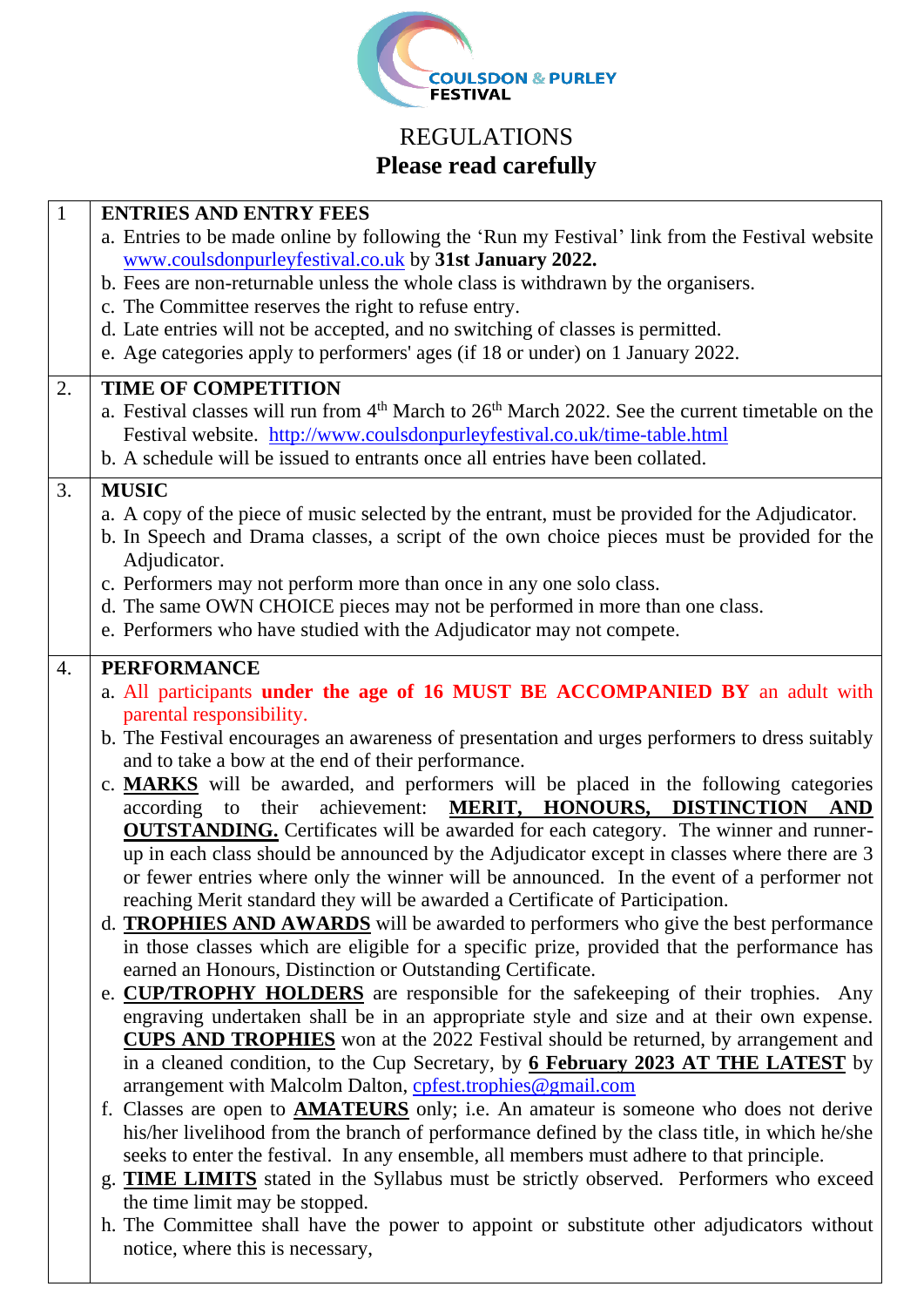

## REGULATIONS **Please read carefully**

| $\mathbf{1}$ | <b>ENTRIES AND ENTRY FEES</b>                                                                                                                                                                |
|--------------|----------------------------------------------------------------------------------------------------------------------------------------------------------------------------------------------|
|              | a. Entries to be made online by following the 'Run my Festival' link from the Festival website                                                                                               |
|              | www.coulsdonpurleyfestival.co.uk by 31st January 2022.                                                                                                                                       |
|              | b. Fees are non-returnable unless the whole class is withdrawn by the organisers.                                                                                                            |
|              | c. The Committee reserves the right to refuse entry.                                                                                                                                         |
|              | d. Late entries will not be accepted, and no switching of classes is permitted.<br>e. Age categories apply to performers' ages (if 18 or under) on 1 January 2022.                           |
|              |                                                                                                                                                                                              |
| 2.           | <b>TIME OF COMPETITION</b>                                                                                                                                                                   |
|              | a. Festival classes will run from 4 <sup>th</sup> March to 26 <sup>th</sup> March 2022. See the current timetable on the                                                                     |
|              | Festival website. http://www.coulsdonpurleyfestival.co.uk/time-table.html                                                                                                                    |
|              | b. A schedule will be issued to entrants once all entries have been collated.                                                                                                                |
| 3.           | <b>MUSIC</b>                                                                                                                                                                                 |
|              | a. A copy of the piece of music selected by the entrant, must be provided for the Adjudicator.                                                                                               |
|              | b. In Speech and Drama classes, a script of the own choice pieces must be provided for the                                                                                                   |
|              | Adjudicator.                                                                                                                                                                                 |
|              | c. Performers may not perform more than once in any one solo class.                                                                                                                          |
|              | d. The same OWN CHOICE pieces may not be performed in more than one class.                                                                                                                   |
|              | e. Performers who have studied with the Adjudicator may not compete.                                                                                                                         |
| 4.           | <b>PERFORMANCE</b>                                                                                                                                                                           |
|              | a. All participants under the age of 16 MUST BE ACCOMPANIED BY an adult with                                                                                                                 |
|              | parental responsibility.                                                                                                                                                                     |
|              | b. The Festival encourages an awareness of presentation and urges performers to dress suitably                                                                                               |
|              | and to take a bow at the end of their performance.                                                                                                                                           |
|              | c. MARKS will be awarded, and performers will be placed in the following categories<br>according to their achievement: MERIT, HONOURS, DISTINCTION AND                                       |
|              | <b>OUTSTANDING.</b> Certificates will be awarded for each category. The winner and runner-                                                                                                   |
|              | up in each class should be announced by the Adjudicator except in classes where there are 3                                                                                                  |
|              | or fewer entries where only the winner will be announced. In the event of a performer not                                                                                                    |
|              | reaching Merit standard they will be awarded a Certificate of Participation.                                                                                                                 |
|              | d. <b>TROPHIES AND AWARDS</b> will be awarded to performers who give the best performance                                                                                                    |
|              | in those classes which are eligible for a specific prize, provided that the performance has                                                                                                  |
|              | earned an Honours, Distinction or Outstanding Certificate.                                                                                                                                   |
|              | e. <b>CUP/TROPHY HOLDERS</b> are responsible for the safekeeping of their trophies. Any                                                                                                      |
|              | engraving undertaken shall be in an appropriate style and size and at their own expense.                                                                                                     |
|              | <b>CUPS AND TROPHIES</b> won at the 2022 Festival should be returned, by arrangement and                                                                                                     |
|              | in a cleaned condition, to the Cup Secretary, by 6 February 2023 AT THE LATEST by                                                                                                            |
|              | arrangement with Malcolm Dalton, cpfest.trophies@gmail.com                                                                                                                                   |
|              | f. Classes are open to <b>AMATEURS</b> only; i.e. An amateur is someone who does not derive<br>his/her livelihood from the branch of performance defined by the class title, in which he/she |
|              | seeks to enter the festival. In any ensemble, all members must adhere to that principle.                                                                                                     |
|              | g. TIME LIMITS stated in the Syllabus must be strictly observed. Performers who exceed                                                                                                       |
|              | the time limit may be stopped.                                                                                                                                                               |
|              | h. The Committee shall have the power to appoint or substitute other adjudicators without                                                                                                    |
|              | notice, where this is necessary,                                                                                                                                                             |